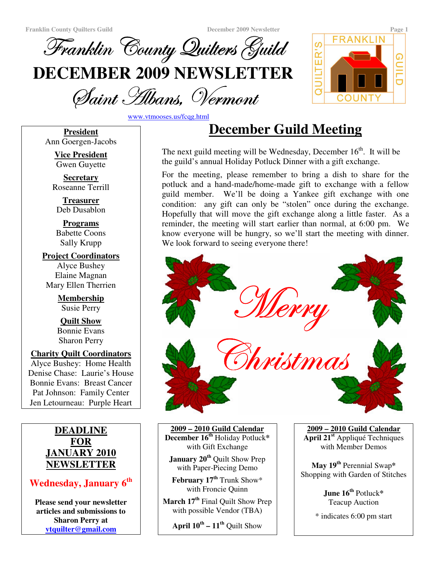

Saint Albans, Vermoni

www.vtmooses.us/fcqg.html

# **December Guild Meeting**

The next guild meeting will be Wednesday, December 16<sup>th</sup>. It will be the guild's annual Holiday Potluck Dinner with a gift exchange.

For the meeting, please remember to bring a dish to share for the potluck and a hand-made/home-made gift to exchange with a fellow guild member. We'll be doing a Yankee gift exchange with one condition: any gift can only be "stolen" once during the exchange. Hopefully that will move the gift exchange along a little faster. As a reminder, the meeting will start earlier than normal, at 6:00 pm. We know everyone will be hungry, so we'll start the meeting with dinner. We look forward to seeing everyone there!



**2009 – 2010 Guild Calendar December 16 th** Holiday Potluck**\*** with Gift Exchange

**January 20 th** Quilt Show Prep with Paper-Piecing Demo

**February 17 th** Trunk Show\* with Froncie Quinn

**March 17 th** Final Quilt Show Prep with possible Vendor (TBA)

**April 10 th – 11 th** Quilt Show

**2009 – 2010 Guild Calendar April 21 st** Appliqué Techniques with Member Demos

**May 19 th** Perennial Swap**\*** Shopping with Garden of Stitches

> **June 16 th** Potluck**\*** Teacup Auction

\* indicates 6:00 pm start

**President** Ann Goergen-Jacobs

> **Vice President** Gwen Guyette

**Secretary** Roseanne Terrill

**Treasurer** Deb Dusablon

**Programs** Babette Coons Sally Krupp

**Project Coordinators** Alyce Bushey Elaine Magnan Mary Ellen Therrien

> **Membership** Susie Perry

**Quilt Show** Bonnie Evans Sharon Perry

**Charity Quilt Coordinators** Alyce Bushey: Home Health Denise Chase: Laurie's House Bonnie Evans: Breast Cancer Pat Johnson: Family Center Jen Letourneau: Purple Heart

## **DEADLINE FOR JANUARY 2010 NEWSLETTER**

**Wednesday, January 6 th**

**Please send your newsletter articles and submissions to Sharon Perry at vtquilter@gmail.com**

**GUILE** 

FRANKLIN

COUNT

LTER'S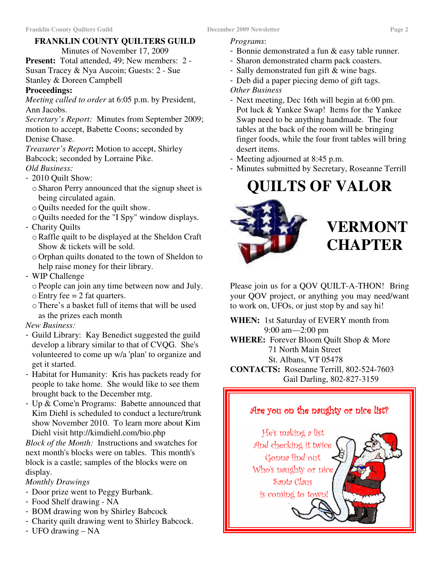### **FRANKLIN COUNTY QUILTERS GUILD**

Minutes of November 17, 2009

**Present:** Total attended, 49; New members: 2 - Susan Tracey & Nya Aucoin; Guests: 2 - Sue Stanley & Doreen Campbell

#### **Proceedings:**

*Meeting called to order* at 6:05 p.m. by President, Ann Jacobs.

*Secretary's Report:* Minutes from September 2009; motion to accept, Babette Coons; seconded by Denise Chase.

*Treasurer's Report***:** Motion to accept, Shirley Babcock; seconded by Lorraine Pike.

*Old Business:*

- 2010 Quilt Show:
	- o Sharon Perry announced that the signup sheet is being circulated again.
	- o Quilts needed for the quilt show.
	- o Quilts needed for the "I Spy" window displays.
- Charity Quilts
	- oRaffle quilt to be displayed at the Sheldon Craft Show & tickets will be sold.
	- o Orphan quilts donated to the town of Sheldon to help raise money for their library.
- WIP Challenge
	- o People can join any time between now and July.
	- $\circ$  Entry fee = 2 fat quarters.
	- oThere's a basket full of items that will be used as the prizes each month

## *New Business:*

- Guild Library: Kay Benedict suggested the guild develop a library similar to that of CVQG. She's volunteered to come up w/a 'plan'to organize and get it started.
- Habitat for Humanity: Kris has packets ready for people to take home. She would like to see them brought back to the December mtg.
- Up & Come'n Programs: Babette announced that Kim Diehl is scheduled to conduct a lecture/trunk show November 2010. To learn more about Kim Diehl visit http://kimdiehl.com/bio.php

*Block of the Month:* Instructions and swatches for next month's blocks were on tables. This month's block is a castle; samples of the blocks were on display.

## *Monthly Drawings*

- Door prize went to Peggy Burbank.
- Food Shelf drawing NA
- BOM drawing won by Shirley Babcock
- Charity quilt drawing went to Shirley Babcock.
- UFO drawing NA

#### *Programs*:

- Bonnie demonstrated a fun & easy table runner.
- Sharon demonstrated charm pack coasters.
- Sally demonstrated fun gift & wine bags.
- Deb did a paper piecing demo of gift tags.

#### *Other Business*

- Next meeting, Dec 16th will begin at 6:00 pm. Pot luck & Yankee Swap! Items for the Yankee Swap need to be anything handmade. The four tables at the back of the room will be bringing finger foods, while the four front tables will bring desert items.
- Meeting adjourned at 8:45 p.m.
- Minutes submitted by Secretary, Roseanne Terrill

# **QUILTS OF VALOR**



# **VERMONT CHAPTER**

Please join us for a QOV QUILT-A-THON! Bring your QOV project, or anything you may need/want to work on, UFOs, or just stop by and say hi!

**WHEN:** 1st Saturday of EVERY month from 9:00 am—2:00 pm **WHERE:** Forever Bloom Quilt Shop & More 71 North Main Street

#### St. Albans, VT 05478

**CONTACTS:** Roseanne Terrill, 802-524-7603 Gail Darling, 802-827-3159

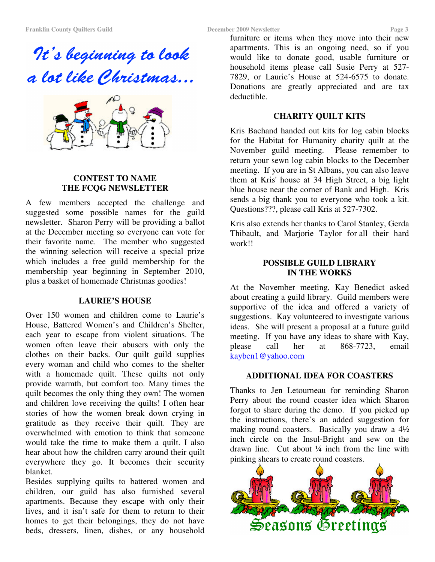



#### **CONTEST TO NAME THE FCQG NEWSLETTER**

A few members accepted the challenge and suggested some possible names for the guild newsletter. Sharon Perry will be providing a ballot at the December meeting so everyone can vote for their favorite name. The member who suggested the winning selection will receive a special prize which includes a free guild membership for the membership year beginning in September 2010, plus a basket of homemade Christmas goodies!

#### **LAURIE'S HOUSE**

Over 150 women and children come to Laurie's House, Battered Women's and Children's Shelter, each year to escape from violent situations. The women often leave their abusers with only the clothes on their backs. Our quilt guild supplies every woman and child who comes to the shelter with a homemade quilt. These quilts not only provide warmth, but comfort too. Many times the quilt becomes the only thing they own! The women and children love receiving the quilts! I often hear stories of how the women break down crying in gratitude as they receive their quilt. They are overwhelmed with emotion to think that someone would take the time to make them a quilt. I also hear about how the children carry around their quilt everywhere they go. It becomes their security blanket.

Besides supplying quilts to battered women and children, our guild has also furnished several apartments. Because they escape with only their lives, and it isn't safe for them to return to their homes to get their belongings, they do not have beds, dressers, linen, dishes, or any household

furniture or items when they move into their new apartments. This is an ongoing need, so if you would like to donate good, usable furniture or household items please call Susie Perry at 527- 7829, or Laurie's House at 524-6575 to donate. Donations are greatly appreciated and are tax deductible.

#### **CHARITY QUILT KITS**

Kris Bachand handed out kits for log cabin blocks for the Habitat for Humanity charity quilt at the November guild meeting. Please remember to return your sewn log cabin blocks to the December meeting. If you are in St Albans, you can also leave them at Kris' house at 34 High Street, a big light blue house near the corner of Bank and High. Kris sends a big thank you to everyone who took a kit. Questions???, please call Kris at 527-7302.

Kris also extends her thanks to Carol Stanley, Gerda Thibault, and Marjorie Taylor for all their hard work!!

#### **POSSIBLE GUILD LIBRARY IN THE WORKS**

At the November meeting, Kay Benedict asked about creating a guild library. Guild members were supportive of the idea and offered a variety of suggestions. Kay volunteered to investigate various ideas. She will present a proposal at a future guild meeting. If you have any ideas to share with Kay,<br>please call her at 868-7723, email please call her at 868-7723, email kayben1@yahoo.com

#### **ADDITIONAL IDEA FOR COASTERS**

Thanks to Jen Letourneau for reminding Sharon Perry about the round coaster idea which Sharon forgot to share during the demo. If you picked up the instructions, there's an added suggestion for making round coasters. Basically you draw a 4½ inch circle on the Insul-Bright and sew on the drawn line. Cut about ¼ inch from the line with pinking shears to create round coasters.

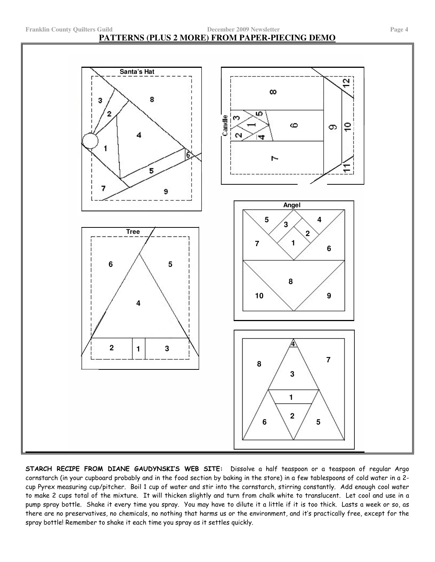

STARCH RECIPE FROM DIANE GAUDYNSKI'S WEB SITE: Dissolve a half teaspoon or a teaspoon of regular Argo cornstarch (in your cupboard probably and in the food section by baking in the store) in a few tablespoons of cold water in a 2cup Pyrex measuring cup/pitcher. Boil 1 cup of water and stir into the cornstarch, stirring constantly. Add enough cool water to make 2 cups total of the mixture. It will thicken slightly and turn from chalk white to translucent. Let cool and use in a pump spray bottle. Shake it every time you spray. You may have to dilute it a little if it is too thick. Lasts a week or so, as there are no preservatives, no chemicals, no nothing that harms us or the environment, and it's practically free, except for the spray bottle! Remember to shake it each time you spray as it settles quickly.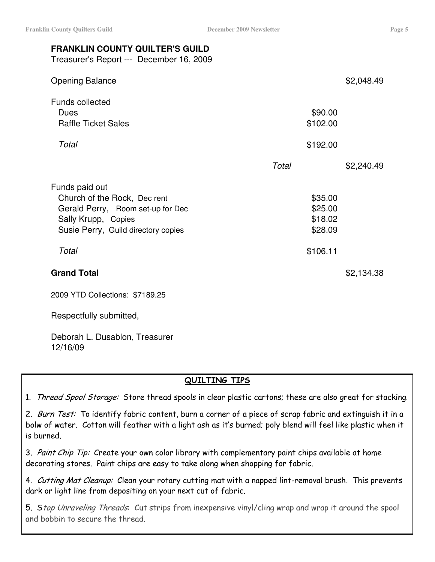#### **FRANKLIN COUNTY QUILTER'S GUILD**

Treasurer's Report --- December 16, 2009

| <b>Opening Balance</b>                                                                                                                                     |                      | \$2,048.49                               |
|------------------------------------------------------------------------------------------------------------------------------------------------------------|----------------------|------------------------------------------|
| <b>Funds collected</b><br><b>Dues</b><br><b>Raffle Ticket Sales</b><br>Total                                                                               | \$102.00<br>\$192.00 | \$90.00                                  |
|                                                                                                                                                            | Total                | \$2,240.49                               |
| Funds paid out<br>Church of the Rock, Dec rent<br>Gerald Perry, Room set-up for Dec<br>Sally Krupp, Copies<br>Susie Perry, Guild directory copies<br>Total | \$106.11             | \$35.00<br>\$25.00<br>\$18.02<br>\$28.09 |
| <b>Grand Total</b>                                                                                                                                         |                      | \$2,134.38                               |
| 2009 YTD Collections: \$7189.25                                                                                                                            |                      |                                          |
| Respectfully submitted,                                                                                                                                    |                      |                                          |

Deborah L. Dusablon, Treasurer 12/16/09

#### <u>QUILTING TIPS</u>

1. *Thread Spool Storage:* Store thread spools in clear plastic cartons; these are also great for stacking.

2. *Burn Test:* To identify fabric content, burn a corner of a piece of scrap fabric and extinguish it in a bolw of water. Cotton will feather with a light ash as it's burned; poly blend will feel like plastic when it is burned.

3. *Paint Chip Tip: C*reate your own color library with complementary paint chips available at home decorating stores. Paint chips are easy to take along when shopping for fabric.

4. *Cutting Mat Cleanup: C*lean your rotary cutting mat with a napped lint-removal brush. This prevents dark or light line from depositing on your next cut of fabric.

5. S*top Unraveling Threads*: Cut strips from inexpensive vinyl/cling wrap and wrap it around the spool and bobbin to secure the thread.